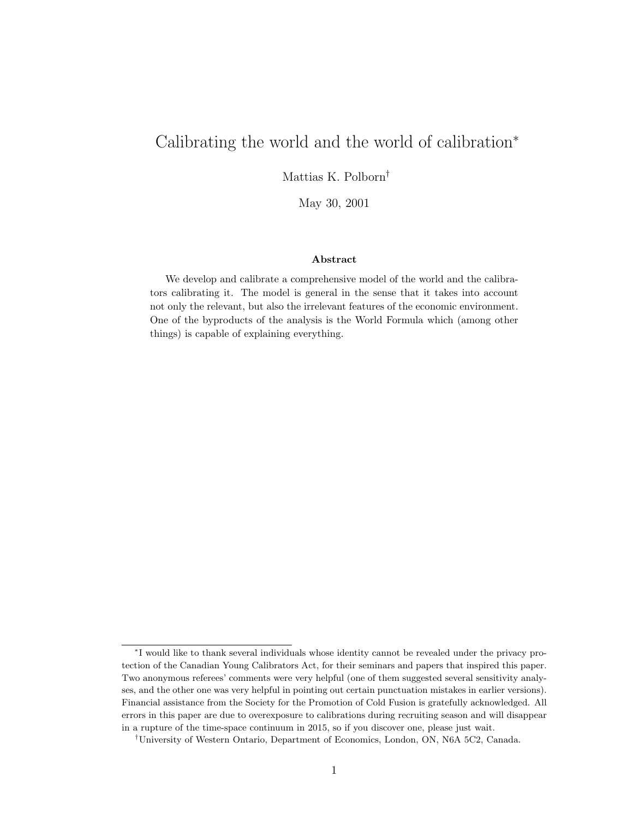# Calibrating the world and the world of calibration<sup>∗</sup>

Mattias K. Polborn†

May 30, 2001

#### Abstract

We develop and calibrate a comprehensive model of the world and the calibrators calibrating it. The model is general in the sense that it takes into account not only the relevant, but also the irrelevant features of the economic environment. One of the byproducts of the analysis is the World Formula which (among other things) is capable of explaining everything.

<sup>∗</sup> I would like to thank several individuals whose identity cannot be revealed under the privacy protection of the Canadian Young Calibrators Act, for their seminars and papers that inspired this paper. Two anonymous referees' comments were very helpful (one of them suggested several sensitivity analyses, and the other one was very helpful in pointing out certain punctuation mistakes in earlier versions). Financial assistance from the Society for the Promotion of Cold Fusion is gratefully acknowledged. All errors in this paper are due to overexposure to calibrations during recruiting season and will disappear in a rupture of the time-space continuum in 2015, so if you discover one, please just wait.

<sup>†</sup>University of Western Ontario, Department of Economics, London, ON, N6A 5C2, Canada.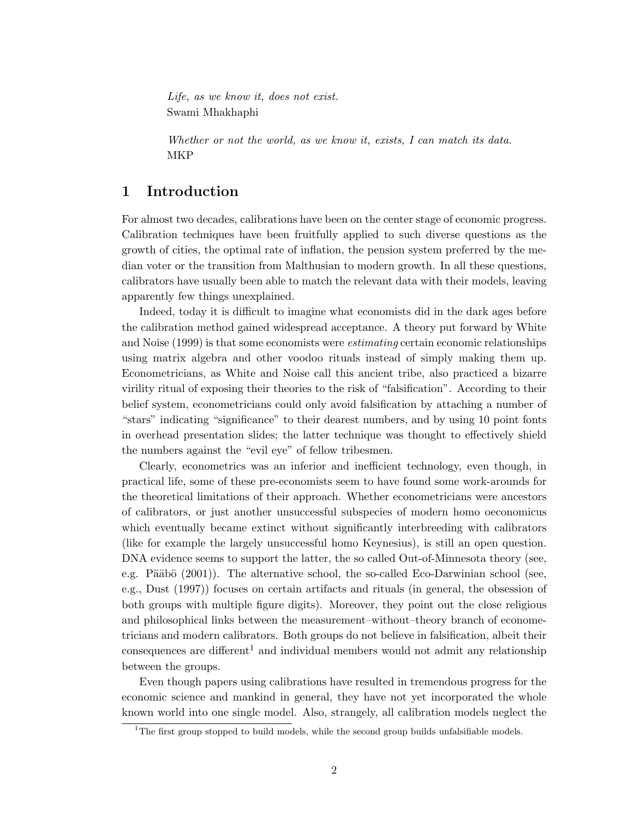Life, as we know it, does not exist. Swami Mhakhaphi

Whether or not the world, as we know it, exists, I can match its data. MKP

#### 1 Introduction

For almost two decades, calibrations have been on the center stage of economic progress. Calibration techniques have been fruitfully applied to such diverse questions as the growth of cities, the optimal rate of inflation, the pension system preferred by the median voter or the transition from Malthusian to modern growth. In all these questions, calibrators have usually been able to match the relevant data with their models, leaving apparently few things unexplained.

Indeed, today it is difficult to imagine what economists did in the dark ages before the calibration method gained widespread acceptance. A theory put forward by White and Noise (1999) is that some economists were estimating certain economic relationships using matrix algebra and other voodoo rituals instead of simply making them up. Econometricians, as White and Noise call this ancient tribe, also practiced a bizarre virility ritual of exposing their theories to the risk of "falsification". According to their belief system, econometricians could only avoid falsification by attaching a number of "stars" indicating "significance" to their dearest numbers, and by using 10 point fonts in overhead presentation slides; the latter technique was thought to effectively shield the numbers against the "evil eye" of fellow tribesmen.

Clearly, econometrics was an inferior and inefficient technology, even though, in practical life, some of these pre-economists seem to have found some work-arounds for the theoretical limitations of their approach. Whether econometricians were ancestors of calibrators, or just another unsuccessful subspecies of modern homo oeconomicus which eventually became extinct without significantly interbreeding with calibrators (like for example the largely unsuccessful homo Keynesius), is still an open question. DNA evidence seems to support the latter, the so called Out-of-Minnesota theory (see, e.g. Pääbö  $(2001)$ ). The alternative school, the so-called Eco-Darwinian school (see, e.g., Dust (1997)) focuses on certain artifacts and rituals (in general, the obsession of both groups with multiple figure digits). Moreover, they point out the close religious and philosophical links between the measurement–without–theory branch of econometricians and modern calibrators. Both groups do not believe in falsification, albeit their consequences are different<sup>1</sup> and individual members would not admit any relationship between the groups.

Even though papers using calibrations have resulted in tremendous progress for the economic science and mankind in general, they have not yet incorporated the whole known world into one single model. Also, strangely, all calibration models neglect the

<sup>&</sup>lt;sup>1</sup>The first group stopped to build models, while the second group builds unfalsifiable models.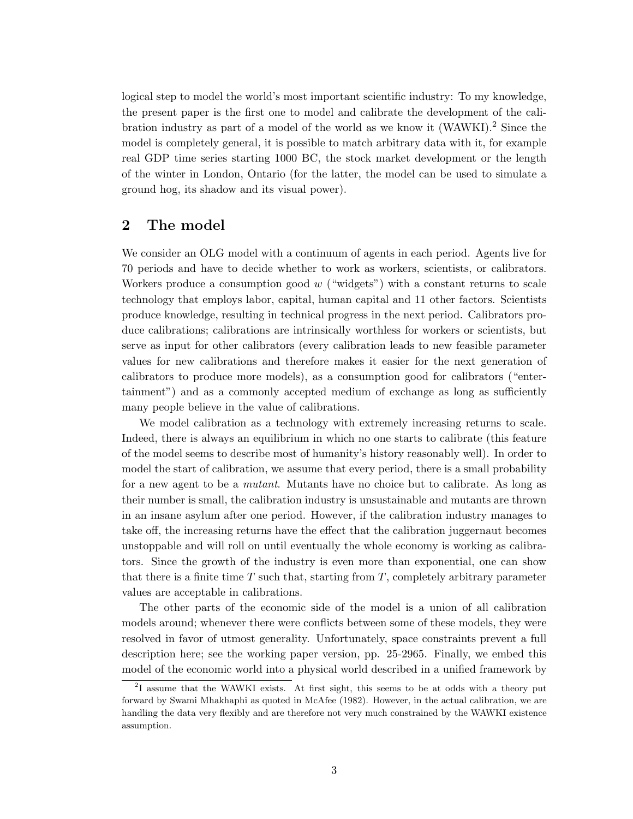logical step to model the world's most important scientific industry: To my knowledge, the present paper is the first one to model and calibrate the development of the calibration industry as part of a model of the world as we know it (WAWKI).<sup>2</sup> Since the model is completely general, it is possible to match arbitrary data with it, for example real GDP time series starting 1000 BC, the stock market development or the length of the winter in London, Ontario (for the latter, the model can be used to simulate a ground hog, its shadow and its visual power).

## 2 The model

We consider an OLG model with a continuum of agents in each period. Agents live for 70 periods and have to decide whether to work as workers, scientists, or calibrators. Workers produce a consumption good  $w$  ("widgets") with a constant returns to scale technology that employs labor, capital, human capital and 11 other factors. Scientists produce knowledge, resulting in technical progress in the next period. Calibrators produce calibrations; calibrations are intrinsically worthless for workers or scientists, but serve as input for other calibrators (every calibration leads to new feasible parameter values for new calibrations and therefore makes it easier for the next generation of calibrators to produce more models), as a consumption good for calibrators ("entertainment") and as a commonly accepted medium of exchange as long as sufficiently many people believe in the value of calibrations.

We model calibration as a technology with extremely increasing returns to scale. Indeed, there is always an equilibrium in which no one starts to calibrate (this feature of the model seems to describe most of humanity's history reasonably well). In order to model the start of calibration, we assume that every period, there is a small probability for a new agent to be a mutant. Mutants have no choice but to calibrate. As long as their number is small, the calibration industry is unsustainable and mutants are thrown in an insane asylum after one period. However, if the calibration industry manages to take off, the increasing returns have the effect that the calibration juggernaut becomes unstoppable and will roll on until eventually the whole economy is working as calibrators. Since the growth of the industry is even more than exponential, one can show that there is a finite time  $T$  such that, starting from  $T$ , completely arbitrary parameter values are acceptable in calibrations.

The other parts of the economic side of the model is a union of all calibration models around; whenever there were conflicts between some of these models, they were resolved in favor of utmost generality. Unfortunately, space constraints prevent a full description here; see the working paper version, pp. 25-2965. Finally, we embed this model of the economic world into a physical world described in a unified framework by

<sup>&</sup>lt;sup>2</sup>I assume that the WAWKI exists. At first sight, this seems to be at odds with a theory put forward by Swami Mhakhaphi as quoted in McAfee (1982). However, in the actual calibration, we are handling the data very flexibly and are therefore not very much constrained by the WAWKI existence assumption.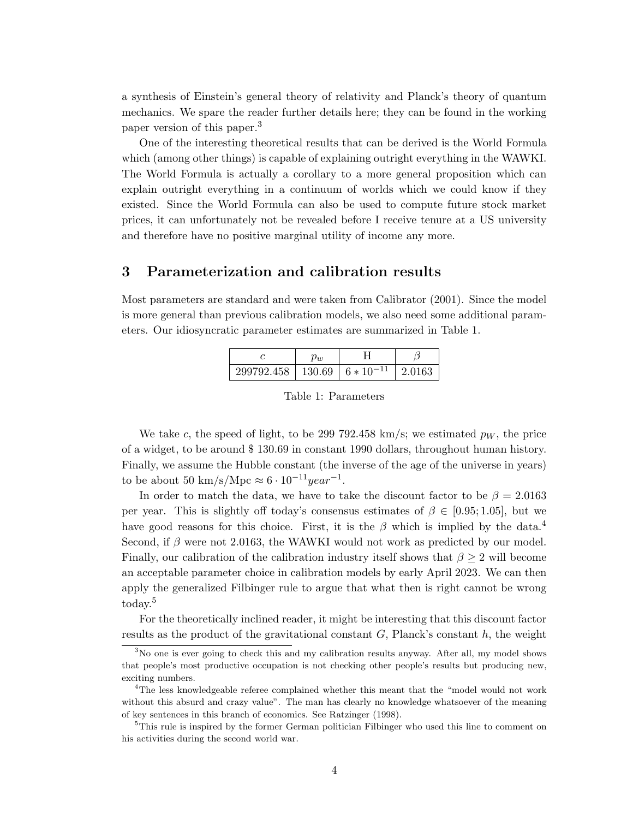a synthesis of Einstein's general theory of relativity and Planck's theory of quantum mechanics. We spare the reader further details here; they can be found in the working paper version of this paper.<sup>3</sup>

One of the interesting theoretical results that can be derived is the World Formula which (among other things) is capable of explaining outright everything in the WAWKI. The World Formula is actually a corollary to a more general proposition which can explain outright everything in a continuum of worlds which we could know if they existed. Since the World Formula can also be used to compute future stock market prices, it can unfortunately not be revealed before I receive tenure at a US university and therefore have no positive marginal utility of income any more.

## 3 Parameterization and calibration results

Most parameters are standard and were taken from Calibrator (2001). Since the model is more general than previous calibration models, we also need some additional parameters. Our idiosyncratic parameter estimates are summarized in Table 1.

|                                                 | ำเ |        |
|-------------------------------------------------|----|--------|
| $299792.458$   130.69   6 $*$ 10 <sup>-11</sup> |    | 2.0163 |

Table 1: Parameters

We take c, the speed of light, to be 299 792.458 km/s; we estimated  $p_W$ , the price of a widget, to be around \$ 130.69 in constant 1990 dollars, throughout human history. Finally, we assume the Hubble constant (the inverse of the age of the universe in years) to be about 50 km/s/Mpc  $\approx 6 \cdot 10^{-11} year^{-1}$ .

In order to match the data, we have to take the discount factor to be  $\beta = 2.0163$ per year. This is slightly off today's consensus estimates of  $\beta \in [0.95; 1.05]$ , but we have good reasons for this choice. First, it is the  $\beta$  which is implied by the data.<sup>4</sup> Second, if  $\beta$  were not 2.0163, the WAWKI would not work as predicted by our model. Finally, our calibration of the calibration industry itself shows that  $\beta \geq 2$  will become an acceptable parameter choice in calibration models by early April 2023. We can then apply the generalized Filbinger rule to argue that what then is right cannot be wrong  $\mathrm{today.}^5$ 

For the theoretically inclined reader, it might be interesting that this discount factor results as the product of the gravitational constant  $G$ , Planck's constant  $h$ , the weight

<sup>&</sup>lt;sup>3</sup>No one is ever going to check this and my calibration results anyway. After all, my model shows that people's most productive occupation is not checking other people's results but producing new, exciting numbers.

<sup>&</sup>lt;sup>4</sup>The less knowledgeable referee complained whether this meant that the "model would not work without this absurd and crazy value". The man has clearly no knowledge whatsoever of the meaning of key sentences in this branch of economics. See Ratzinger (1998).

<sup>&</sup>lt;sup>5</sup>This rule is inspired by the former German politician Filbinger who used this line to comment on his activities during the second world war.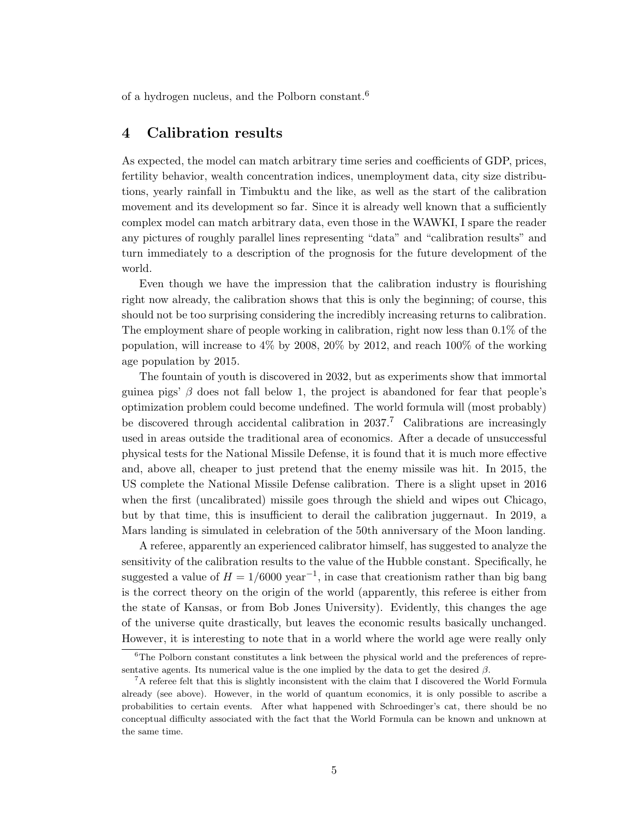of a hydrogen nucleus, and the Polborn constant.<sup>6</sup>

## 4 Calibration results

As expected, the model can match arbitrary time series and coefficients of GDP, prices, fertility behavior, wealth concentration indices, unemployment data, city size distributions, yearly rainfall in Timbuktu and the like, as well as the start of the calibration movement and its development so far. Since it is already well known that a sufficiently complex model can match arbitrary data, even those in the WAWKI, I spare the reader any pictures of roughly parallel lines representing "data" and "calibration results" and turn immediately to a description of the prognosis for the future development of the world.

Even though we have the impression that the calibration industry is flourishing right now already, the calibration shows that this is only the beginning; of course, this should not be too surprising considering the incredibly increasing returns to calibration. The employment share of people working in calibration, right now less than 0.1% of the population, will increase to 4% by 2008, 20% by 2012, and reach 100% of the working age population by 2015.

The fountain of youth is discovered in 2032, but as experiments show that immortal guinea pigs'  $\beta$  does not fall below 1, the project is abandoned for fear that people's optimization problem could become undefined. The world formula will (most probably) be discovered through accidental calibration in  $2037$ .<sup>7</sup> Calibrations are increasingly used in areas outside the traditional area of economics. After a decade of unsuccessful physical tests for the National Missile Defense, it is found that it is much more effective and, above all, cheaper to just pretend that the enemy missile was hit. In 2015, the US complete the National Missile Defense calibration. There is a slight upset in 2016 when the first (uncalibrated) missile goes through the shield and wipes out Chicago, but by that time, this is insufficient to derail the calibration juggernaut. In 2019, a Mars landing is simulated in celebration of the 50th anniversary of the Moon landing.

A referee, apparently an experienced calibrator himself, has suggested to analyze the sensitivity of the calibration results to the value of the Hubble constant. Specifically, he suggested a value of  $H = 1/6000 \text{ year}^{-1}$ , in case that creationism rather than big bang is the correct theory on the origin of the world (apparently, this referee is either from the state of Kansas, or from Bob Jones University). Evidently, this changes the age of the universe quite drastically, but leaves the economic results basically unchanged. However, it is interesting to note that in a world where the world age were really only

<sup>6</sup>The Polborn constant constitutes a link between the physical world and the preferences of representative agents. Its numerical value is the one implied by the data to get the desired  $\beta$ .

<sup>7</sup>A referee felt that this is slightly inconsistent with the claim that I discovered the World Formula already (see above). However, in the world of quantum economics, it is only possible to ascribe a probabilities to certain events. After what happened with Schroedinger's cat, there should be no conceptual difficulty associated with the fact that the World Formula can be known and unknown at the same time.